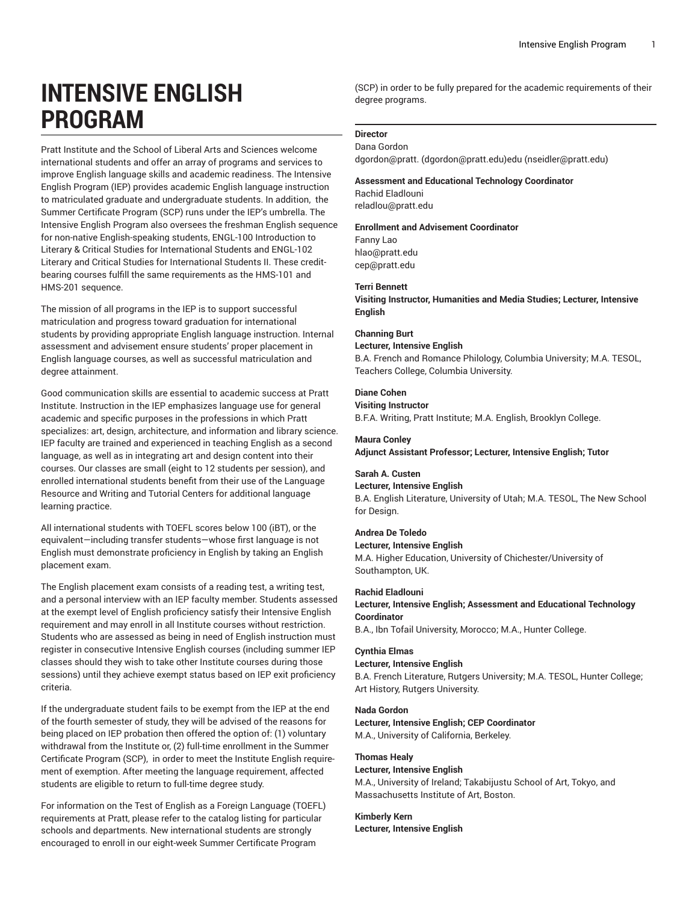# **INTENSIVE ENGLISH PROGRAM**

Pratt Institute and the School of Liberal Arts and Sciences welcome international students and offer an array of programs and services to improve English language skills and academic readiness. The Intensive English Program (IEP) provides academic English language instruction to matriculated graduate and undergraduate students. In addition, the Summer Certificate Program (SCP) runs under the IEP's umbrella. The Intensive English Program also oversees the freshman English sequence for non-native English-speaking students, ENGL-100 Introduction to Literary & Critical Studies for International Students and ENGL-102 Literary and Critical Studies for International Students II. These creditbearing courses fulfill the same requirements as the HMS-101 and HMS-201 sequence.

The mission of all programs in the IEP is to support successful matriculation and progress toward graduation for international students by providing appropriate English language instruction. Internal assessment and advisement ensure students' proper placement in English language courses, as well as successful matriculation and degree attainment.

Good communication skills are essential to academic success at Pratt Institute. Instruction in the IEP emphasizes language use for general academic and specific purposes in the professions in which Pratt specializes: art, design, architecture, and information and library science. IEP faculty are trained and experienced in teaching English as a second language, as well as in integrating art and design content into their courses. Our classes are small (eight to 12 students per session), and enrolled international students benefit from their use of the Language Resource and Writing and Tutorial Centers for additional language learning practice.

All international students with TOEFL scores below 100 (iBT), or the equivalent—including transfer students—whose first language is not English must demonstrate proficiency in English by taking an English placement exam.

The English placement exam consists of a reading test, a writing test, and a personal interview with an IEP faculty member. Students assessed at the exempt level of English proficiency satisfy their Intensive English requirement and may enroll in all Institute courses without restriction. Students who are assessed as being in need of English instruction must register in consecutive Intensive English courses (including summer IEP classes should they wish to take other Institute courses during those sessions) until they achieve exempt status based on IEP exit proficiency criteria.

If the undergraduate student fails to be exempt from the IEP at the end of the fourth semester of study, they will be advised of the reasons for being placed on IEP probation then offered the option of: (1) voluntary withdrawal from the Institute or, (2) full-time enrollment in the Summer Certificate Program (SCP), in order to meet the Institute English require ment of exemption. After meeting the language requirement, affected students are eligible to return to full-time degree study.

For information on the Test of English as a Foreign Language (TOEFL) requirements at Pratt, please refer to the catalog listing for particular schools and departments. New international students are strongly encouraged to enroll in our eight-week Summer Certificate Program

(SCP) in order to be fully prepared for the academic requirements of their degree programs.

#### **Director** Dana Gordon

[dgordon@pratt.](mailto:dgordon@pratt.edu) [\(dgordon@pratt.edu](dgordon@pratt.edu))[edu](mailto:nseidler@pratt.edu) (<nseidler@pratt.edu>)

## **Assessment and Educational Technology Coordinator**

Rachid Eladlouni [reladlou@pratt.edu](mailto:reladlou@pratt.edu)

#### **Enrollment and Advisement Coordinator**

Fanny Lao [hlao@pratt.edu](mailto:hlao@pratt.edu) [cep@pratt.edu](mailto:cep@pratt.edu)

#### **Terri Bennett**

**Visiting Instructor, Humanities and Media Studies; Lecturer, Intensive English**

#### **Channing Burt**

#### **Lecturer, Intensive English**

B.A. French and Romance Philology, Columbia University; M.A. TESOL, Teachers College, Columbia University.

## **Diane Cohen**

**Visiting Instructor**

B.F.A. Writing, Pratt Institute; M.A. English, Brooklyn College.

#### **Maura Conley**

**Adjunct Assistant Professor; Lecturer, Intensive English; Tutor**

## **Sarah A. Custen**

#### **Lecturer, Intensive English**

B.A. English Literature, University of Utah; M.A. TESOL, The New School for Design.

## **Andrea De Toledo**

**Lecturer, Intensive English**

M.A. Higher Education, University of Chichester/University of Southampton, UK.

#### **Rachid Eladlouni**

## **Lecturer, Intensive English; Assessment and Educational Technology Coordinator**

B.A., Ibn Tofail University, Morocco; M.A., Hunter College.

#### **Cynthia Elmas**

#### **Lecturer, Intensive English**

B.A. French Literature, Rutgers University; M.A. TESOL, Hunter College; Art History, Rutgers University.

#### **Nada Gordon**

## **Lecturer, Intensive English; CEP Coordinator**

M.A., University of California, Berkeley.

## **Thomas Healy**

**Lecturer, Intensive English** M.A., University of Ireland; Takabijustu School of Art, Tokyo, and Massachusetts Institute of Art, Boston.

#### **Kimberly Kern**

**Lecturer, Intensive English**